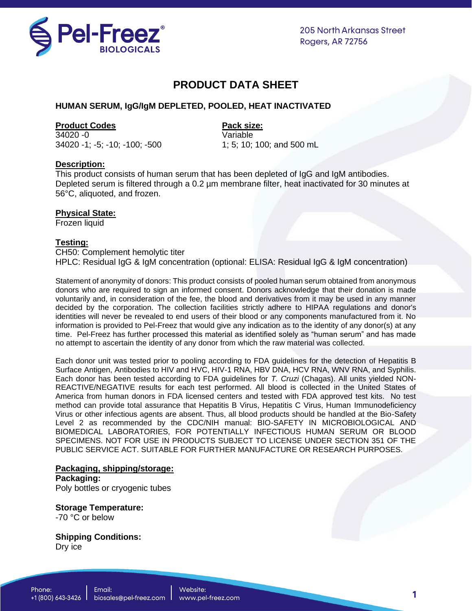

**205 North Arkansas Street Rogers, AR 72756** 

# **PRODUCT DATA SHEET**

### **HUMAN SERUM, IgG/IgM DEPLETED, POOLED, HEAT INACTIVATED**

#### **Product Codes Product Codes Pack size:**

34020 -0 Variable 34020 -1; -5; -10; -100; -500 1; 5; 10; 100; and 500 mL

### **Description:**

This product consists of human serum that has been depleted of IgG and IgM antibodies. Depleted serum is filtered through a 0.2 µm membrane filter, heat inactivated for 30 minutes at 56°C, aliquoted, and frozen.

### **Physical State:**

Frozen liquid

### **Testing:**

CH50: Complement hemolytic titer HPLC: Residual IgG & IgM concentration (optional: ELISA: Residual IgG & IgM concentration)

Statement of anonymity of donors: This product consists of pooled human serum obtained from anonymous donors who are required to sign an informed consent. Donors acknowledge that their donation is made voluntarily and, in consideration of the fee, the blood and derivatives from it may be used in any manner decided by the corporation. The collection facilities strictly adhere to HIPAA regulations and donor's identities will never be revealed to end users of their blood or any components manufactured from it. No information is provided to Pel-Freez that would give any indication as to the identity of any donor(s) at any time. Pel-Freez has further processed this material as identified solely as "human serum" and has made no attempt to ascertain the identity of any donor from which the raw material was collected.

Each donor unit was tested prior to pooling according to FDA guidelines for the detection of Hepatitis B Surface Antigen, Antibodies to HIV and HVC, HIV-1 RNA, HBV DNA, HCV RNA, WNV RNA, and Syphilis. Each donor has been tested according to FDA guidelines for *T. Cruzi* (Chagas). All units yielded NON-REACTIVE/NEGATIVE results for each test performed. All blood is collected in the United States of America from human donors in FDA licensed centers and tested with FDA approved test kits. No test method can provide total assurance that Hepatitis B Virus, Hepatitis C Virus, Human Immunodeficiency Virus or other infectious agents are absent. Thus, all blood products should be handled at the Bio-Safety Level 2 as recommended by the CDC/NIH manual: BIO-SAFETY IN MICROBIOLOGICAL AND BIOMEDICAL LABORATORIES, FOR POTENTIALLY INFECTIOUS HUMAN SERUM OR BLOOD SPECIMENS. NOT FOR USE IN PRODUCTS SUBJECT TO LICENSE UNDER SECTION 351 OF THE PUBLIC SERVICE ACT. SUITABLE FOR FURTHER MANUFACTURE OR RESEARCH PURPOSES.

## **Packaging, shipping/storage: Packaging:**

Poly bottles or cryogenic tubes

#### **Storage Temperature:** -70 °C or below

**Shipping Conditions:** Dry ice

1